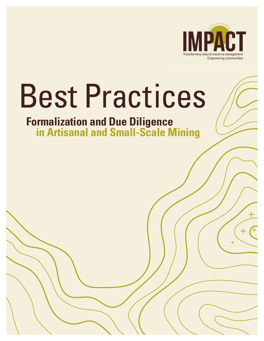

# Best Practices

# **Formalization and Due Diligence in Artisanal and Small-Scale Mining**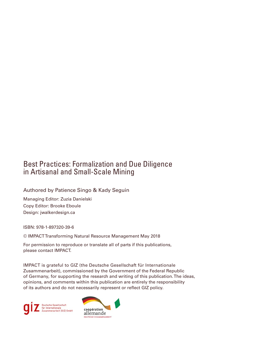## Best Practices: Formalization and Due Diligence in Artisanal and Small-Scale Mining

#### Authored by Patience Singo & Kady Seguin

Managing Editor: Zuzia Danielski Copy Editor: Brooke Eboule Design: jwalkerdesign.ca

ISBN: 978-1-897320-39-6

© IMPACT Transforming Natural Resource Management May 2018

For permission to reproduce or translate all of parts if this publications, please contact IMPACT.

IMPACT is grateful to GIZ (the Deutsche Gesellschaft für Internationale Zusammenarbeit), commissioned by the Government of the Federal Republic of Germany, for supporting the research and writing of this publication. The ideas, opinions, and comments within this publication are entirely the responsibility of its authors and do not necessarily represent or reflect GIZ policy.



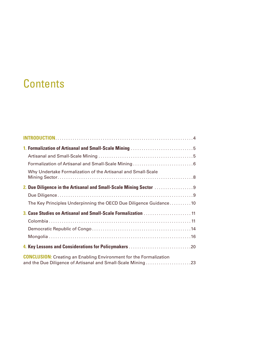# **Contents**

| Why Undertake Formalization of the Artisanal and Small-Scale                                                                              |
|-------------------------------------------------------------------------------------------------------------------------------------------|
|                                                                                                                                           |
|                                                                                                                                           |
| The Key Principles Underpinning the OECD Due Diligence Guidance 10                                                                        |
|                                                                                                                                           |
|                                                                                                                                           |
|                                                                                                                                           |
|                                                                                                                                           |
|                                                                                                                                           |
| <b>CONCLUSION:</b> Creating an Enabling Environment for the Formalization<br>and the Due Diligence of Artisanal and Small-Scale Mining 23 |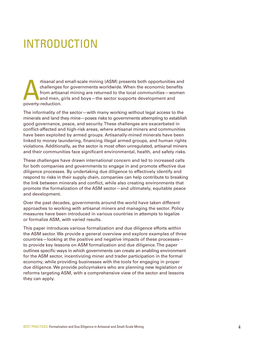# <span id="page-3-0"></span>INTRODUCTION

rtisanal and small-scale mining (ASM) presents both opportunities and challenges for governments worldwide. When the economic benefits from artisanal mining are returned to the local communities—women and men, girls and bo challenges for governments worldwide. When the economic benefits from artisanal mining are returned to the local communities—women and men, girls and boys—the sector supports development and poverty-reduction.

The informality of the sector—with many working without legal access to the minerals and land they mine—poses risks to governments attempting to establish good governance, peace, and security. These challenges are exacerbated in conflict-affected and high-risk areas, where artisanal miners and communities have been exploited by armed groups. Artisanally-mined minerals have been linked to money laundering, financing illegal armed groups, and human rights violations. Additionally, as the sector is most often unregulated, artisanal miners and their communities face significant environmental, health, and safety risks.

These challenges have drawn international concern and led to increased calls for both companies and governments to engage in and promote effective due diligence processes. By undertaking due diligence to effectively identify and respond to risks in their supply chain, companies can help contribute to breaking the link between minerals and conflict, while also creating environments that promote the formalization of the ASM sector—and ultimately, equitable peace and development.

Over the past decades, governments around the world have taken different approaches to working with artisanal miners and managing the sector. Policy measures have been introduced in various countries in attempts to legalize or formalize ASM, with varied results.

This paper introduces various formalization and due diligence efforts within the ASM sector. We provide a general overview and explore examples of three countries—looking at the positive and negative impacts of these processes to provide key lessons on ASM formalization and due diligence. The paper outlines specific ways in which governments can create an enabling environment for the ASM sector, incentivizing miner and trader participation in the formal economy, while providing businesses with the tools for engaging in proper due diligence. We provide policymakers who are planning new legislation or reforms targeting ASM, with a comprehensive view of the sector and lessons they can apply.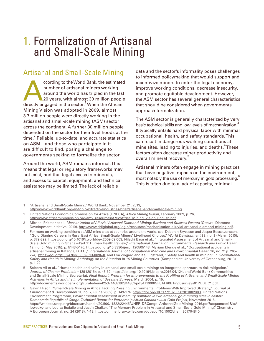# <span id="page-4-0"></span>1. Formalization of Artisanal and Small-Scale Mining

## Artisanal and Small-Scale Mining

cording to the World Bank, the estimated<br>
number of artisanal miners working<br>
around the world has tripled in the last<br>
20 years, with almost 30 million people<br>
directly engaged in the sector.<sup>1</sup> When the African number of artisanal miners working around the world has tripled in the last 20 years, with almost 30 million people Mining Vision was adopted in 2009, almost 3.7 million people were directly working in the artisanal and small-scale mining (ASM) sector across the continent. A further 30 million people depended on the sector for their livelihoods at the time. $^2$  Reliable, up-to-date, and accurate statistics on ASM—and those who participate in it are difficult to find, posing a challenge to governments seeking to formalize the sector.

Around the world, ASM remains informal. This means that legal or regulatory frameworks may not exist, and that legal access to minerals, and access to capital, equipment, and technical assistance may be limited. The lack of reliable

data and the sector's informality poses challenges to informed policymaking that would support and incentivize miners to enter the legal economy, improve working conditions, decrease insecurity, and promote equitable development. However, the ASM sector has several general characteristics that should be considered when governments approach formalization.

The ASM sector is generally characterized by very basic technical skills and low levels of mechanization.<sup>3</sup> It typically entails hard physical labor with minimal occupational, health, and safety standards. This can result in dangerous working conditions at mine sites, leading to injuries, and deaths.<sup>4</sup>These factors often decrease miner productivity and overall mineral recovery.<sup>5</sup>

Artisanal miners often engage in mining practices that have negative impacts on the environment, most notably the use of mercury in gold processing.<sup>6</sup> This is often due to a lack of capacity, minimal

[http://www.worldbank.org/en/topic/extractiveindustries/brief/artisanal-and-small-scale-mining.](http://www.worldbank.org/en/topic/extractiveindustries/brief/artisanal-and-small-scale-mining)

- 4 For more on working conditions at ASM mine sites at countries around the world, see: Deborah Bryceson and Jesper Bosse Jonsson, "Gold Digging Careers in Rural East Africa: Small-Scale Miners' Livelihood Choices," World Development 38, no. 3 (March 2010): p. 379-392, [https://doi.org/10.1016/j.worlddev.2009.09.003,](https://doi.org/10.1016/j.worlddev.2009.09.003) Niladri Basu et al., "Integrated Assessment of Artisanal and Small-Scale Gold mining in Ghana–Part 1: Human Health Review," International Journal of Environmental Research and Public Health 12, no. 5 (May 2015): p. 5143-5176,<https://doi.org/10.3390/ijerph120505143>, Myriam Elenge et al., "Occupational accidents in artisanal mining in Katanga, D.R.C.," International Journal of Occupational Medicine and Environmental Health 26, no. 2: p. 265 274, [https://doi.org/10.2478/s13382-013-0096-0,](https://doi.org/10.2478/s13382-013-0096-0) and Eva Vingård and Kaj Elgstrand, "Safety and health in mining" in Occupational Safety and Health in Mining: Anthology on the Situation in 16 Mining Countries, (Kompendiet: University of Gothenburg, 2013), p. 1-22.
- 5 Saleem Ali et al., "Human health and safety in artisanal and small-scale mining: an integrated approach to risk mitigation," Journal of Cleaner Production 129 (2016): p. 43-52, https://doi.org/ 10.1016/j.jclepro.2016.04.124, and World Bank Communities and Small-Scale Mining Secretariat, Final Report, Program for Improvements to the Profiling of Artisanal and Small-Scale Mining Activities in Africa and the Implementation of Baseline Surveys, March 2004, p. 15, <http://documents.worldbank.org/curated/en/425371468192844301/pdf/471000WP0AFR0B1ing0surveys01PUBLIC1.pdf>.
- Gavin Hilson, "Small-Scale Mining in Africa: Tackling Pressing Environmental Problems With Improved Strategy," Journal of Environment & Development 11, no. 2, (June 2002): p. 149-174, [https://doi.org/10.1177/10796502011002003,](https://doi.org/10.1177/10796502011002003) United Nations Environment Programme, Environmental assessment of mercury pollution in two artisanal gold mining sites in eastern Democratic Republic of Congo: Technical Report for Partnership Africa Canada's Just Gold Project, November 2016, [https://wedocs.unep.org/bitstream/handle/20.500.11822/22445/UNEP\\_DRCongo\\_ArtisanalGoldMining\\_2016.pdf?sequence=1&isAl](https://wedocs.unep.org/bitstream/handle/20.500.11822/22445/UNEP_DRCongo_ArtisanalGoldMining_2016.pdf?sequence=1&isAllowed=y)[lowed=y,](https://wedocs.unep.org/bitstream/handle/20.500.11822/22445/UNEP_DRCongo_ArtisanalGoldMining_2016.pdf?sequence=1&isAllowed=y) and Louisa Esdaile and Justin Chalker, "The Mercury Problem in Artisanal and Small-Scale Gold Mining," Chemistry: A European Journal, no. 24 (2018): 1-13,<https://onlinelibrary.wiley.com/doi/epdf/10.1002/chem.201704840>.

<sup>1 &</sup>quot;Artisanal and Small-Scale Mining," World Bank, November 21, 2013,

<sup>2</sup> United Nations Economic Commission for Africa (UNECA), Africa Mining Vision, February 2009, p. 26, [http://www.africaminingvision.org/amv\\_resources/AMV/Africa\\_Mining\\_Vision\\_English.pdf.](http://www.africaminingvision.org/amv_resources/AMV/Africa_Mining_Vision_English.pdf)

<sup>3</sup> Michael Priester et al., Mechanization of Alluvial Artisanal Diamond Mining: Barriers and Success Factors (Ottawa: Diamond Development Initiative, 2010), <http://www.ddiglobal.org/login/resources/mechanisation-alluvial-artisanal-diamond-mining.pdf>.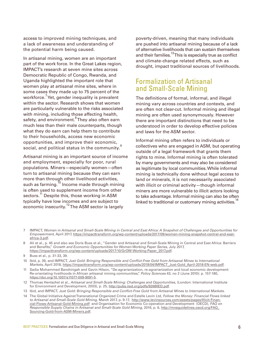<span id="page-5-0"></span>access to improved mining techniques, and a lack of awareness and understanding of the potential harm being caused.

In artisanal mining, women are an important part of the work force. In the Great Lakes region, IMPACT's research at seven mine sites across Democratic Republic of Congo, Rwanda, and Uganda highlighted the important role that women play at artisanal mine sites, where in some cases they made up to 75 percent of the workforce.<sup>7</sup> Yet, gender inequality is prevalent within the sector. Research shows that women are particularly vulnerable to the risks associated with mining, including those affecting health, safety, and environment.<sup>8</sup> They also often earn much less than their male counterparts, though what they do earn can help them to contribute to their households, access new economic opportunities, and improve their economic, social, and political status in the community.<sup>9</sup>

Artisanal mining is an important source of income and employment, especially for poor, rural populations. Miners—especially women—often turn to artisanal mining because they can earn more than through other livelihood activities, such as farming.<sup>10</sup> Income made through mining is often used to supplement income from other sectors.<sup>11</sup> Despite this, those working in ASM typically have low incomes and are subject to economic insecurity.<sup>12</sup> The ASM sector is largely

poverty-driven, meaning that many individuals are pushed into artisanal mining because of a lack of alternative livelihoods that can sustain themselves and their families.<sup>13</sup> This is especially true as conflict and climate-change related effects, such as drought, impact traditional sources of livelihoods.

## Formalization of Artisanal and Small-Scale Mining

The definitions of formal, informal, and illegal mining vary across countries and contexts, and are often not clear-cut. Informal mining and illegal mining are often used synonymously. However there are important distinctions that need to be understood in order to develop effective policies and laws for the ASM sector.

Informal mining often refers to individuals or collectives who are engaged in ASM, but operating outside of a legal framework that grants them rights to mine. Informal mining is often tolerated by many governments and may also be considered as legitimate by local communities. While informal mining is technically done without legal access to land or minerals, it is not necessarily associated with illicit or criminal activity—though informal miners are more vulnerable to illicit actors looking to take advantage. Informal mining can also be often linked to traditional or customary mining activities.<sup>14</sup>

- 7 IMPACT, Women in Artisanal and Small-Scale Mining in Central and East Africa: A Snapshot of Challenges and Opportunities for Empowerment, April 2017, [https://impacttransform.org/wp-content/uploads/2017/09/women-mining-snapshot-central-and-east](https://impacttransform.org/wp-content/uploads/2017/09/women-mining-snapshot-central-and-east-africa-3.pdf)[africa-3.pdf](https://impacttransform.org/wp-content/uploads/2017/09/women-mining-snapshot-central-and-east-africa-3.pdf).
- 8 Ali et al., p. 45 and also see Doris Buss et al., "Gender and Artisanal and Small-Scale Mining in Central and East Africa: Barriers and Benefits," Growth and Economic Opportunities for Women Working Paper Series, July 2017, [https://impacttransform.org/wp-content/uploads/2017/10/GrOW-Working-Paper\\_2017.pdf.](https://impacttransform.org/wp-content/uploads/2017/10/GrOW-Working-Paper_2017.pdf)

- 11 Sadia Mohammed Banchirigah and Gavin Hilson, "De-agrarianization, re-agrarianization and local economic development: Re-orientating livelihoods in African artisanal mining communities," Policy Sciences 43, no 2 (June 2010): p. 157-180, <https://doi.org/10.1007/s11077-009-9091-5>.
- 12 Thomas Hentschel et al., Artisanal and Small-Scale Mining: Challenges and Opportunities, (London: International Institute for Environment and Development, 2003), p. 25, [http://pubs.iied.org/pdfs/9268IIED.pdf.](http://pubs.iied.org/pdfs/9268IIED.pdf)
- 13 Ibid, and IMPACT, Just Gold: Bringing Responsible and Conflict-Free Gold from Artisanal Mines to International Markets.
- 14 The Global Initiative Against Transnational Organized Crime and Estelle Levin Ltd, Follow the Money: Financial Flows linked to Artisanal and Small-Scale Gold Mining, March 2017, p. 9-17, [http://www.levinsources.com/assets/pages/Illicit-Finan](http://www.levinsources.com/assets/pages/Illicit-Financial-Flows-Artisanal-Gold-Mining.pdf)[cial-Flows-Artisanal-Gold-Mining.pdf](http://www.levinsources.com/assets/pages/Illicit-Financial-Flows-Artisanal-Gold-Mining.pdf) and Organisation for Economic Co-operation and Development (OECD), FAQ on Responsible Supply Chains in Artisanal and Small-Scale Gold Mining, 2016, p. 6, http://mneguidelines.oecd.org/FAQ [Sourcing-Gold-from-ASM-Miners.pdf.](http://mneguidelines.oecd.org/FAQ_Sourcing-Gold-from-ASM-Miners.pdf)

<sup>9</sup> Buss et al., p. 31-33, 39.

<sup>10</sup> Ibid, p. 39, and IMPACT, Just Gold: Bringing Responsible and Conflict-Free Gold from Artisanal Mines to International Markets, April 2018, [https://impacttransform.org/wp-content/uploads/2018/04/IMPACT\\_Just-Gold\\_April-2018-EN-web.pdf.](https://impacttransform.org/wp-content/uploads/2018/04/IMPACT_Just-Gold_April-2018-EN-web.pdf)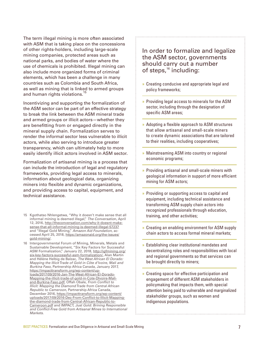The term illegal mining is more often associated with ASM that is taking place on the concessions of other rights-holders, including large-scale mining companies, protected areas such as national parks, and bodies of water where the use of chemicals is prohibited. Illegal mining can also include more organized forms of criminal elements, which has been a challenge in many countries such as Colombia and South Africa, as well as mining that is linked to armed groups and human rights violations.<sup>15</sup>

Incentivizing and supporting the formalization of the ASM sector can be part of an effective strategy to break the link between the ASM mineral trade and armed groups or illicit actors—whether they are benefitting from or engaged directly in the mineral supply chain. Formalization serves to render the informal sector less vulnerable to illicit actors, while also serving to introduce greater transparency, which can ultimately help to more easily identify illicit actors involved in ASM sector.

Formalization of artisanal mining is a process that can include the introduction of legal and regulatory frameworks, providing legal access to minerals, information about geological data, organizing miners into flexible and dynamic organizations, and providing access to capital, equipment, and technical assistance.

15 Kgothatso Nhlengetwa, "Why it doesn't make sense that all informal mining is deemed illegal," The Conversation, April 12, 2016, [http://theconversation.com/why-it-doesnt-make](http://theconversation.com/why-it-doesnt-make-sense-that-all-informal-mining-is-deemed-illegal-57237)[sense-that-all-informal-mining-is-deemed-illegal-57237](http://theconversation.com/why-it-doesnt-make-sense-that-all-informal-mining-is-deemed-illegal-57237) and "Illegal Gold Mining," Amazon Aid Foundation, accessed April 25, 2018, [https://amazonaid.org/the-issues/](https://amazonaid.org/the-issues/gold-mining/) [gold-mining/](https://amazonaid.org/the-issues/gold-mining/).

16 Intergovernmental Forum of Mining, Minerals, Metals and Sustainable Development, "Six Key Factors for Successful ASM Formalization," January 22, 2018, [http://igfmining.org/](http://igfmining.org/six-key-factors-successful-asm-formalization/) [six-key-factors-successful-asm-formalization/](http://igfmining.org/six-key-factors-successful-asm-formalization/), Alan Martin and Hélène Helbig de Balzac, The West African El Dorado: Mapping the Illicit Trade of Gold in Côte d'Ivoire, Mali and Burkina Faso, Partnership Africa Canada, January 2017, [https://impacttransform.org/wp-content/up](https://impacttransform.org/wp-content/uploads/2017/09/2016-Jan-The-West-African-El-Dorado-Mapping-the-illicit-trade-of-gold-in-Cote-DIvoire-Mali-and-Burkina-Faso.pdf)[loads/2017/09/2016-Jan-The-West-African-El-Dorado-](https://impacttransform.org/wp-content/uploads/2017/09/2016-Jan-The-West-African-El-Dorado-Mapping-the-illicit-trade-of-gold-in-Cote-DIvoire-Mali-and-Burkina-Faso.pdf)[Mapping-the-illicit-trade-of-gold-in-Cote-DIvoire-Mali](https://impacttransform.org/wp-content/uploads/2017/09/2016-Jan-The-West-African-El-Dorado-Mapping-the-illicit-trade-of-gold-in-Cote-DIvoire-Mali-and-Burkina-Faso.pdf)[and-Burkina-Faso.pdf,](https://impacttransform.org/wp-content/uploads/2017/09/2016-Jan-The-West-African-El-Dorado-Mapping-the-illicit-trade-of-gold-in-Cote-DIvoire-Mali-and-Burkina-Faso.pdf) Offah Obale, From Conflict to Illicit: Mapping the Diamond Trade from Central African Republic to Cameroon, Partnership Africa Canada, December 2016, [https://impacttransform.org/wp-content/](https://impacttransform.org/wp-content/uploads/2017/09/2016-Dec-From-Conflict-to-Illicit-Mapping-the-diamond-trade-from-Central-African-Republic-to-Cameroon.pdf) [uploads/2017/09/2016-Dec-From-Conflict-to-Illicit-Mapping](https://impacttransform.org/wp-content/uploads/2017/09/2016-Dec-From-Conflict-to-Illicit-Mapping-the-diamond-trade-from-Central-African-Republic-to-Cameroon.pdf)[the-diamond-trade-from-Central-African-Republic-to-](https://impacttransform.org/wp-content/uploads/2017/09/2016-Dec-From-Conflict-to-Illicit-Mapping-the-diamond-trade-from-Central-African-Republic-to-Cameroon.pdf)[Cameroon.pdf](https://impacttransform.org/wp-content/uploads/2017/09/2016-Dec-From-Conflict-to-Illicit-Mapping-the-diamond-trade-from-Central-African-Republic-to-Cameroon.pdf) and IMPACT, Just Gold: Brining Responsible and Conflict-Free Gold from Artisanal Mines to International **Markets** 

In order to formalize and legalize the ASM sector, governments should carry out a number of steps, $16$  including:

- » Creating conducive and appropriate legal and policy frameworks;
- » Providing legal access to minerals for the ASM sector, including through the designation of specific ASM areas;
- » Adopting a flexible approach to ASM structures that allow artisanal and small-scale miners to create dynamic associations that are tailored to their realities, including cooperatives;
- » Mainstreaming ASM into country or regional economic programs;
- » Providing artisanal and small-scale miners with geological information in support of more efficient mining for ASM actors;
- » Providing or supporting access to capital and equipment, including technical assistance and transforming ASM supply chain actors into recognized professionals through education, training, and other activities;
- » Creating an enabling environment for ASM supply chain actors to access formal mineral markets;
- » Establishing clear institutional mandates and decentralizing roles and responsibilities with local and regional governments so that services can be brought directly to miners;
- » Creating space for effective participation and engagement of different ASM stakeholders in policymaking that impacts them, with special attention being paid to vulnerable and marginalized stakeholder groups, such as women and indigenous populations.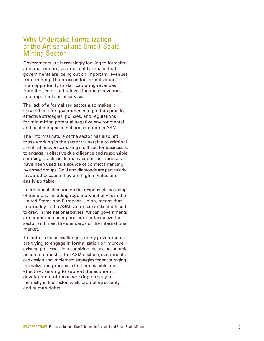#### <span id="page-7-0"></span>Why Undertake Formalization of the Artisanal and Small-Scale Mining Sector

Governments are increasingly looking to formalize artisanal miners, as informality means that governments are losing out on important revenues from mining. The process for formalization is an opportunity to start capturing revenues from the sector and reinvesting these revenues into important social services.

The lack of a formalized sector also makes it very difficult for governments to put into practice effective strategies, policies, and regulations for minimizing potential negative environmental and health impacts that are common in ASM.

The informal nature of the sector has also left those working in the sector vulnerable to criminal and illicit networks, making it difficult for businesses to engage in effective due diligence and responsible sourcing practices. In many countries, minerals have been used as a source of conflict financing by armed groups. Gold and diamonds are particularly favoured because they are high in value and easily portable.

International attention on the responsible sourcing of minerals, including regulatory initiatives in the United States and European Union, means that informality in the ASM sector can make it difficult to draw in international buyers. African governments are under increasing pressure to formalize the sector and meet the standards of the international market.

To address these challenges, many governments are trying to engage in formalization or improve existing processes. In recognizing the socioeconomic position of most of the ASM sector, governments can design and implement strategies for encouraging formalization processes that are feasible and effective, serving to support the economic development of those working directly or indirectly in the sector, while promoting security and human rights.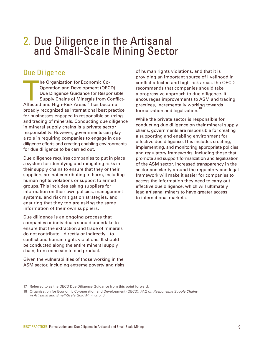# <span id="page-8-0"></span>2. Due Diligence in the Artisanal and Small-Scale Mining Sector

## Due Diligence

The Organization for Economic Co-<br>
Operation and Development (OECD)<br>
Due Diligence Guidance for Responsit<br>
Supply Chains of Minerals from Confl<br>
Affected and High-Risk Areas<sup>17</sup> has become Operation and Development (OECD) Due Diligence Guidance for Responsible Supply Chains of Minerals from Conflictbroadly recognized as international best practice for businesses engaged in responsible sourcing and trading of minerals. Conducting due diligence in mineral supply chains is a private sector responsibility. However, governments can play a role in requiring companies to engage in due diligence efforts and creating enabling environments for due diligence to be carried out.

Due diligence requires companies to put in place a system for identifying and mitigating risks in their supply chains to ensure that they or their suppliers are not contributing to harm, including human rights violations or support to armed groups. This includes asking suppliers for information on their own policies, management systems, and risk mitigation strategies, and ensuring that they too are asking the same information of their own suppliers.

Due diligence is an ongoing process that companies or individuals should undertake to ensure that the extraction and trade of minerals do not contribute—directly or indirectly—to conflict and human rights violations. It should be conducted along the entire mineral supply chain, from mine site to end product.

Given the vulnerabilities of those working in the ASM sector, including extreme poverty and risks of human rights violations, and that it is providing an important source of livelihood in conflict-affected and high-risk areas, the OECD recommends that companies should take a progressive approach to due diligence. It encourages improvements to ASM and trading practices, incrementally working towards formalization and legalization.<sup>19</sup>

While the private sector is responsible for conducting due diligence on their mineral supply chains, governments are responsible for creating a supporting and enabling environment for effective due diligence. This includes creating, implementing, and monitoring appropriate policies and regulatory frameworks, including those that promote and support formalization and legalization of the ASM sector. Increased transparency in the sector and clarity around the regulatory and legal framework will make it easier for companies to access the information they need to carry out effective due diligence, which will ultimately lead artisanal miners to have greater access to international markets.

<sup>17</sup> Referred to as the OECD Due Diligence Guidance from this point forward.

<sup>18</sup> Organisation for Economic Co-operation and Development (OECD), FAQ on Responsible Supply Chains in Artisanal and Small-Scale Gold Mining, p. 6.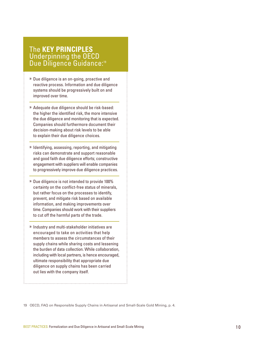#### <span id="page-9-0"></span>The **KEY PRINCIPLES** Underpinning the OECD Due Diligence Guidance:<sup>19</sup>

- » Due diligence is an on-going, proactive and reactive process. Information and due diligence systems should be progressively built on and improved over time.
- » Adequate due diligence should be risk-based: the higher the identified risk, the more intensive the due diligence and monitoring that is expected. Companies should furthermore document their decision-making about risk levels to be able to explain their due diligence choices.
- » Identifying, assessing, reporting, and mitigating risks can demonstrate and support reasonable and good faith due diligence efforts; constructive engagement with suppliers will enable companies to progressively improve due diligence practices.
- » Due diligence is not intended to provide 100% certainty on the conflict-free status of minerals, but rather focus on the processes to identify, prevent, and mitigate risk based on available information, and making improvements over time. Companies should work with their suppliers to cut off the harmful parts of the trade.
- » Industry and multi-stakeholder initiatives are encouraged to take on activities that help members to assess the circumstances of their supply chains while sharing costs and lessening the burden of data collection. While collaboration, including with local partners, is hence encouraged, ultimate responsibility that appropriate due diligence on supply chains has been carried out lies with the company itself.

19 OECD, FAQ on Responsible Supply Chains in Artisanal and Small-Scale Gold Mining, p. 4.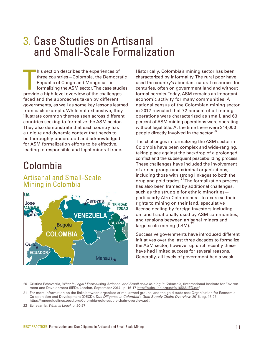# <span id="page-10-0"></span>3. Case Studies on Artisanal and Small-Scale Formalization

his section describes the experiences of<br>three countries—Colombia, the Democrat<br>Republic of Congo and Mongolia—in<br>formalizing the ASM sector. The case studi<br>provide a high-level overview of the challenges his section describes the experiences of three countries—Colombia, the Democratic Republic of Congo and Mongolia—in formalizing the ASM sector. The case studies faced and the approaches taken by different governments, as well as some key lessons learned from each example. While not exhaustive, they illustrate common themes seen across different countries seeking to formalize the ASM sector. They also demonstrate that each country has a unique and dynamic context that needs to be thoroughly understood and acknowledged for ASM formalization efforts to be effective, leading to responsible and legal mineral trade.

# Colombia

#### Artisanal and Small-Scale Mining in Colombia



Historically, Colombia's mining sector has been characterized by informality. The rural poor have used the country's abundant natural resources for centuries, often on government land and without formal permits. Today, ASM remains an important economic activity for many communities. A national census of the Colombian mining sector in 2012 revealed that 72 percent of all mining operations were characterized as small, and 63 percent of ASM mining operations were operating without legal title. At the time there were 314,000 people directly involved in the sector.<sup>20</sup>

The challenges in formalizing the ASM sector in Colombia have been complex and wide-ranging, taking place against the backdrop of a prolonged conflict and the subsequent peacebuilding process. These challenges have included the involvement of armed groups and criminal organizations, including those with strong linkages to both the drug and gold trades.21 The formalization process has also been framed by additional challenges, such as the struggle for ethnic minorities particularly Afro-Colombians—to exercise their rights to mining on their land, speculative license dealing by foreign investors including on land traditionally used by ASM communities, and tensions between artisanal miners and large-scale mining (LSM).<sup>22</sup>

Successive governments have introduced different initiatives over the last three decades to formalize the ASM sector, however up until recently these have had limited success for several reasons. Generally, all levels of government had a weak

- 20 Cristina Echavarria, What is Legal? Formalising Artisanal and Small-scale Mining in Colombia, (International Institute for Environment and Development (IIED), London, September 2014), p. 16-17, [http://pubs.iied.org/pdfs/16565IIED.pdf.](http://pubs.iied.org/pdfs/16565IIED.pdf)
- 21 For more information on the links between organized crime, armed groups, and the gold trade see: Organisation for Economic Co-operation and Development (OECD), Due Diligence in Colombia's Gold Supply Chain: Overview, 2016, pg. 16-25, <https://mneguidelines.oecd.org/Colombia-gold-supply-chain-overview.pdf>.
- 22 Echavarria, What is Legal, p. 20-27.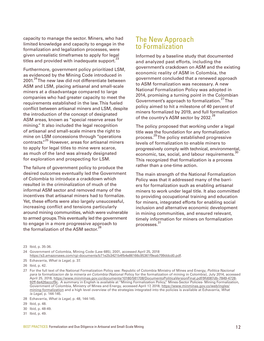capacity to manage the sector. Miners, who had limited knowledge and capacity to engage in the formalization and legalization processes, were given unrealistic timeframes to apply for legal titles and provided with inadequate support.<sup>2</sup>

Furthermore, government policy prioritized LSM, as evidenced by the Mining Code introduced in 2001.<sup>24</sup> The new law did not differentiate between ASM and LSM, placing artisanal and small-scale miners at a disadvantage compared to large companies who had greater capacity to meet the requirements established in the law. This fueled conflict between artisanal miners and LSM, despite the introduction of the concept of designated ASM areas, known as "special reserve areas for mining." It also included the legal recognition of artisanal and small-scale miners the right to mine on LSM concessions through "operations contracts."25 However, areas for artisanal miners to apply for legal titles to mine were scarce, as much of the land was already designated for exploration and prospecting for LSM.

The failure of government policy to produce the desired outcomes eventually led the Government of Colombia to introduce a crackdown which resulted in the criminalization of much of the informal ASM sector and removed many of the incentives that artisanal miners had to formalize. Yet, these efforts were also largely unsuccessful, increasing conflict and tensions particularly around mining communities, which were vulnerable to armed groups. This eventually led the government to engage in a more progressive approach to the formalization of the ASM sector.<sup>2</sup>

#### The New Approach to Formalization

Informed by a baseline study that documented and analyzed past efforts, including the government's crackdown on ASM and the existing economic reality of ASM in Colombia, the government concluded that a renewed approach to ASM formalization was necessary. A new National Formalization Policy was adopted in 2014, promising a turning point in the Colombian Government's approach to formalization.<sup>27</sup> The policy aimed to hit a milestone of 40 percent of miners formalized by 2019, and full formalization of the country's ASM sector by 2032.<sup>28</sup>

The policy proposed that working under a legal title was the foundation for any formalization process. 29 The policy established progressive levels of formalization to enable miners to progressively comply with technical, environmental, economic, tax, social, and labour requirements.<sup>30</sup> This recognized that formalization is a process rather than a one-time action.

The main strength of the National Formalization Policy was that it addressed many of the barriers for formalization such as enabling artisanal miners to work under legal title. It also committed to providing occupational training and education for miners, integrated efforts for enabling social inclusion and alternative economic development in mining communities, and ensured relevant, timely information for miners on formalization processes. 31

23 Ibid, p. 35-36.

- 24 Government of Colombia, Mining Code (Law 685), 2001, accessed April 25, 2018 [https://s3.amazonaws.com/rgi-documents/b71e2b3421b4fb4e86166c95361f9eab799ddcd0.pdf.](https://s3.amazonaws.com/rgi-documents/b71e2b3421b4fb4e86166c95361f9eab799ddcd0.pdf)
- 25 Echavarria, What is Legal, p. 37.
- 26 Ibid, p. 42.
- 27 For the full text of the National Formalization Policy see: Republic of Colombia Ministry of Mines and Energy, Politica Nacional para la formalizacion de la mineria en Colombia (National Policy for the formalization of mining in Colombia), July 2014, accessed April 25, 2018, [https://www.minminas.gov.co/documents/10180/581708/DocumentoPoliticaVersionFinal.pdf/9fd087db-7849-4728-](https://www.minminas.gov.co/documents/10180/581708/DocumentoPoliticaVersionFinal.pdf/9fd087db-7849-4728-92ff-6e426acccf9c) [92ff-6e426acccf9c](https://www.minminas.gov.co/documents/10180/581708/DocumentoPoliticaVersionFinal.pdf/9fd087db-7849-4728-92ff-6e426acccf9c). A summary in English is available at "Mining Formalization Policy," Mines-Sector Policies- Mining Formalization, Government of Colombia, Ministry of Mines and Energy, accessed April 17, 2018, [https://www.minminas.gov.co/web/ingles/](https://www.minminas.gov.co/web/ingles/mining-formalization) [mining-formalization](https://www.minminas.gov.co/web/ingles/mining-formalization) and a high level overview of the strategies integrated into the policies is available at Echavarria, What is Legal, p. 144-145.
- 28 Echavarria, What is Legal, p. 48, 144-145.
- 29 Ibid, p. 48.
- 30 Ibid, p. 48-49.
- 31 Ibid, p. 49.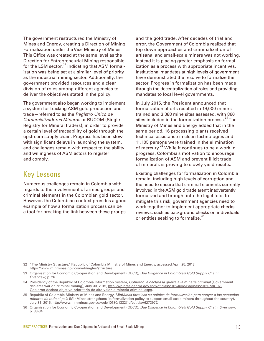The government restructured the Ministry of Mines and Energy, creating a Direction of Mining Formalization under the Vice Ministry of Mines. This Office was created at the same level as the Direction for Entrepreneurial Mining responsible for the LSM sector, $32$  indicating that ASM formalization was being set at a similar level of priority as the industrial mining sector. Additionally, the government provided resources and a clear division of roles among different agencies to deliver the objectives stated in the policy.

The government also began working to implement a system for tracking ASM gold production and trade—referred to as the Registro Unico de Comercializadores Mineros or RUCOM (Single Registry for Mineral Traders), in order to provide a certain level of traceability of gold through the upstream supply chain. Progress has been slow with significant delays in launching the system, and challenges remain with respect to the ability and willingness of ASM actors to register and comply.

## Key Lessons

Numerous challenges remain in Colombia with regards to the involvement of armed groups and criminal elements in the Colombian gold sector. However, the Colombian context provides a good example of how a formalization process can be a tool for breaking the link between these groups

and the gold trade. After decades of trial and error, the Government of Colombia realized that top down approaches and criminalization of artisanal and small-scale miners was not working. Instead it is placing greater emphasis on formalization as a process with appropriate incentives. Institutional mandates at high levels of government have demonstrated the resolve to formalize the sector. Progress in formalization has been made through the decentralization of roles and providing mandates to local level governments.

In July 2015, the President announced that formalization efforts resulted in 19,000 miners trained and 3,388 mine sites assessed, with 860 sites included in the formalization process.<sup>34</sup> The Ministry of Mines and Energy added that in the same period, 16 processing plants received technical assistance in clean technologies and 11,105 persons were trained in the elimination of mercury.<sup>35</sup> While it continues to be a work in progress, Colombia's motivation to encourage formalization of ASM and prevent illicit trade of minerals is proving to slowly yield results.

Existing challenges for formalization in Colombia remain, including high levels of corruption and the need to ensure that criminal elements currently involved in the ASM gold trade aren't inadvertently formalized and brought into the legal fold. To mitigate this risk, government agencies need to work together to implement appropriate checks reviews, such as background checks on individuals or entities seeking to formalize.<sup>36</sup>

- 32 "The Ministry Structure," Republic of Colombia Ministry of Mines and Energy, accessed April 25, 2018, <https://www.minminas.gov.co/web/ingles/structure>.
- 33 Organisation for Economic Co-operation and Development (OECD), Due Diligence in Colombia's Gold Supply Chain: Overview, p. 26.
- 34 Presidency of the Republic of Colombia Information System, Gobierno le declara la guerra a la minería criminal (Government declares war on criminal mining), July 30, 2015, [http://wp.presidencia.gov.co/Noticias/2015/Julio/Paginas/20150730\\_02-](http://wp.presidencia.gov.co/Noticias/2015/Julio/Paginas/20150730_02-Gobierno-declara-objetivo-prioritario-de-alto-valor-la-mineria-criminal.aspx) [Gobierno-declara-objetivo-prioritario-de-alto-valor-la-mineria-criminal.aspx.](http://wp.presidencia.gov.co/Noticias/2015/Julio/Paginas/20150730_02-Gobierno-declara-objetivo-prioritario-de-alto-valor-la-mineria-criminal.aspx)
- 35 Republic of Colombia Ministry of Mines and Energy, MinMinas fortalece su política de formalización para apoyar a los pequeños mineros de todo el país (MinMinas strengthens its formalization policy to support small-scale miners throughout the country), July 31, 2015,<http://www.minminas.gov.co/web/10180/1332?idNoticia=6273977>.
- 36 Organisation for Economic Co-operation and Development (OECD), Due Diligence in Colombia's Gold Supply Chain: Overview, p. 33-34.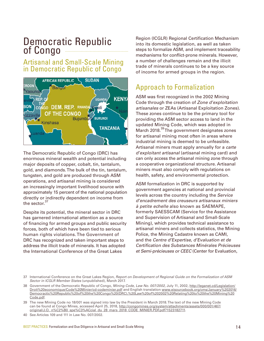## <span id="page-13-0"></span>Democratic Republic of Congo

## Artisanal and Small-Scale Mining in Democratic Republic of Congo



The Democratic Republic of Congo (DRC) has enormous mineral wealth and potential including major deposits of copper, cobalt, tin, tantalum, gold, and diamonds. The bulk of the tin, tantalum, tungsten, and gold are produced through ASM operations, and artisanal mining is considered an increasingly important livelihood source with approximately 15 percent of the national population directly or indirectly dependent on income from the sector.<sup>3</sup>

Despite its potential, the mineral sector in DRC has garnered international attention as a source of financing for armed groups and public security forces, both of which have been tied to serious human rights violations. The Government of DRC has recognized and taken important steps to address the illicit trade of minerals. It has adopted the International Conference of the Great Lakes

Region (ICGLR) Regional Certification Mechanism into its domestic legislation, as well as taken steps to formalize ASM, and implement traceability mechanisms for conflict-prone minerals. However, a number of challenges remain and the illicit trade of minerals continues to be a key source of income for armed groups in the region.

## Approach to Formalization

ASM was first recognized in the 2002 Mining Code through the creation of Zone d'exploitation artisanales or ZEAs (Artisanal Exploitation Zones). These zones continue to be the primary tool for providing the ASM sector access to land in the updated Mining Code, which was adopted in March 2018.<sup>39</sup> The government designates zones for artisanal mining most often in areas where industrial mining is deemed to be unfeasible. Artisanal miners must apply annually for a carte d'exploitant artisanal (artisanal mining card) and can only access the artisanal mining zone through a cooperative organizational structure. Artisanal miners must also comply with regulations on health, safety, and environmental protection.

ASM formalization in DRC is supported by government agencies at national and provincial levels across the country including the Service d'encadrement des creuseurs artisanaux miniers à petite echelle also known as SAEMAPE, formerly SAESSCAM (Service for the Assistance and Supervision of Artisanal and Small-Scale Mining), which provides technical assistance to artisanal miners and collects statistics, the Mining Police, the Mining Cadastre known as CAMI, and the Centre d'Expertise, d'Evaluation et de Certification des Substances Minérales Précieuses et Semi-précieuses or CEEC (Center for Evaluation,

<sup>37</sup> International Conference on the Great Lakes Region, Report on Development of Regional Guide on the Formalization of ASM Sector in ICGLR Member States (unpublished), March 2017.

<sup>38</sup> Government of the Democratic Republic of Congo, Mining Code, Law No. 007/2002, July 11, 2002, [http://leganet.cd/Legislation/](http://leganet.cd/Legislation/Droit%20economique/Code%20Minier/cd-codeminier.pdf) [Droit%20economique/Code%20Minier/cd-codeminier.pdf](http://leganet.cd/Legislation/Droit%20economique/Code%20Minier/cd-codeminier.pdf) and English translation [www.eisourcebook.org/cms/January%202016/](www.eisourcebook.org/cms/January%202016/Democractic%20Republic%20of%20the%20Congo%20(DRC),%20Law%20of%202002%20Relating%20to%20the%20Mining%20) [Democractic%20Republic%20of%20the%20Congo%20\(DRC\),%20Law%20of%202002%20Relating%20to%20the%20Mining%20](www.eisourcebook.org/cms/January%202016/Democractic%20Republic%20of%20the%20Congo%20(DRC),%20Law%20of%202002%20Relating%20to%20the%20Mining%20) Code.pdf.

<sup>39</sup> The new Mining Code no 18/001 was signed into law by the President in March 2018. The text of the new Mining Code can be found at Congo Mines, accessed April 25, 2018, [http://congomines.org/system/attachments/assets/000/001/467/](http://congomines.org/system/attachments/assets/000/001/467/original/J.O._n%C2%B0_spe%C3%ACcial_du_28_mars_2018_CODE_MINIER.PDF.pdf?1523182711) [original/J.O.\\_n%C2%B0\\_spe%C3%ACcial\\_du\\_28\\_mars\\_2018\\_CODE\\_MINIER.PDF.pdf?1523182711](http://congomines.org/system/attachments/assets/000/001/467/original/J.O._n%C2%B0_spe%C3%ACcial_du_28_mars_2018_CODE_MINIER.PDF.pdf?1523182711).

<sup>40</sup> See Articles 109 and 111 in Law No. 007/2002.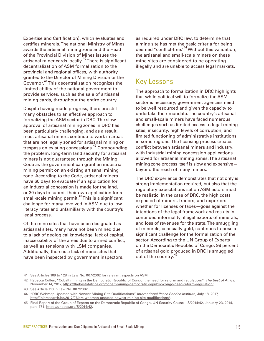Expertise and Certification), which evaluates and certifies minerals. The national Ministry of Mines awards the artisanal mining zone and the Head of the Provincial Division of Mines issues the artisanal miner cards locally.<sup>40</sup> There is significant decentralization of ASM formalization to the provincial and regional offices, with authority granted to the Director of Mining Division or the Governor.41 This decentralization recognizes the limited ability of the national government to provide services, such as the sale of artisanal mining cards, throughout the entire country.

Despite having made progress, there are still many obstacles to an effective approach to formalizing the ASM sector in DRC. The slow approval of artisanal mining zones in DRC has been particularly challenging, and as a result, most artisanal miners continue to work in areas that are not legally zoned for artisanal mining or trespass on existing concessions.42 Compounding the problem, long-term land security for artisanal miners is not guaranteed through the Mining Code as the government can grant an industrial mining permit on an existing artisanal mining zone. According to the Code, artisanal miners have 60 days to evacuate if an application for an industrial concession is made for the land, or 30 days to submit their own application for a small-scale mining permit.<sup>43</sup> This is a significant challenge for many involved in ASM due to low literacy rates and unfamiliarity with the country's legal process.

Of the mine sites that have been designated as artisanal sites, many have not been mined due to a lack of geological knowledge, lack of capital, inaccessibility of the areas due to armed conflict, as well as tensions with LSM companies. Additionally, there is a lack of mine sites that have been inspected by government inspectors,

as required under DRC law, to determine that a mine site has met the basic criteria for being deemed "conflict-free."44 Without this validation, the artisanal and small-scale miners on these mine sites are considered to be operating illegally and are unable to access legal markets.

## Key Lessons

The approach to formalization in DRC highlights that while political will to formalize the ASM sector is necessary, government agencies need to be well resourced and given the capacity to undertake their mandate. The country's artisanal and small-scale miners have faced numerous challenges such as limited access to legal mining sites, insecurity, high levels of corruption, and limited functioning of administrative institutions in some regions. The licensing process creates conflict between artisanal miners and industry, with industrial mining concession applications allowed for artisanal mining zones. The artisanal mining zone process itself is slow and expensive beyond the reach of many miners.

The DRC experience demonstrates that not only is strong implementation required, but also that the regulatory expectations set on ASM actors must be realistic. In the case of DRC, the high costs expected of miners, traders, and exporters whether for licenses or taxes—goes against the intentions of the legal framework and results in continued informality, illegal exports of minerals, and loss of revenues for the state. The smuggling of minerals, especially gold, continues to pose a significant challenge for the formalization of the sector. According to the UN Group of Experts on the Democratic Republic of Congo, 98 percent of artisanal gold produced in DRC is smuggled out of the country.<sup>45</sup>

<sup>41</sup> See Articles 109 to 128 in Law No. 007/2002 for relevant aspects on ASM.

<sup>42</sup> Rebecca Cullen, "Cobalt mining in the Democratic Republic of Congo: the need for reform and regulation?" The Best of Africa, November 14, 2017, <https://thebestofafrica.org/cobalt-mining-democratic-republic-congo-need-reform-regulation/>.

<sup>43</sup> See Article 110 in Law No. 007/2002.

<sup>44 &</sup>quot;DRC Webmap Updated with Newest Mining Site Qualifications," International Peace Service Institute, July 18, 2017, [http://ipisresearch.be/2017/07/drc-webmap-updated-newest-mining-site-qualifications/.](http://ipisresearch.be/2017/07/drc-webmap-updated-newest-mining-site-qualifications/)

<sup>45</sup> Final Report of the Group of Experts on the Democratic Republic of Congo, UN Security Council, S/2014/42, January 23, 2014, para 171,<https://undocs.org/S/2014/42>.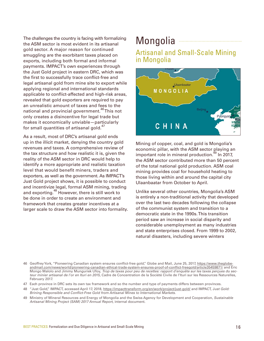<span id="page-15-0"></span>The challenges the country is facing with formalizing the ASM sector is most evident in its artisanal gold sector. A major reason for continued smuggling are the exorbitant taxes placed on exports, including both formal and informal payments. IMPACT's own experiences through the Just Gold project in eastern DRC, which was the first to successfully trace conflict-free and legal artisanal gold from mine site to export while applying regional and international standards applicable to conflict-affected and high-risk areas, revealed that gold exporters are required to pay an unrealistic amount of taxes and fees to the national and provincial government.<sup>46</sup> This not only creates a disincentive for legal trade but makes it economically unviable—particularly for small quantities of artisanal gold.<sup>47</sup>

As a result, most of DRC's artisanal gold ends up in the illicit market, denying the country gold revenues and taxes. A comprehensive review of the tax structure and how realistic it is, given the reality of the ASM sector in DRC would help to identify a more appropriate and realistic taxation level that would benefit miners, traders and exporters, as well as the government. As IMPACT's Just Gold project shows, it is possible to conduct and incentivize legal, formal ASM mining, trading and exporting.<sup>48</sup> However, there is still work to be done in order to create an environment and framework that creates greater incentives at a larger scale to draw the ASM sector into formality.

# Mongolia **-**

#### Artisanal and Small-Scale Mining in Mongolia



Mining of copper, coal, and gold is Mongolia's economic pillar, with the ASM sector playing an important role in mineral production.<sup>49</sup> In 2017, the ASM sector contributed more than 50 percent of the total national gold production. ASM coal mining provides coal for household heating to those living within and around the capital city Ulaanbaatar from October to April.

Unlike several other countries, Mongolia's ASM is entirely a non-traditional activity that developed over the last two decades following the collapse of the communist system and transition to a democratic state in the 1990s. This transition period saw an increase in social disparity and considerable unemployment as many industries and state enterprises closed. From 1999 to 2002, natural disasters, including severe winters

- 47 Each province in DRC sets its own tax framework and so the number and type of payments differs between provinces.
- 48 "Just Gold," IMPACT, accessed April 17, 2018, <https://impacttransform.org/en/work/project/just-gold/>and IMPACT, Just Gold: Brining Responsible and Conflict-Free Gold from Artisanal Mines to International Markets.
- 49 Ministry of Mineral Resources and Energy of Mongolia and the Swiss Agency for Development and Cooperation, Sustainable Artisanal Mining Project (SAM) 2017 Annual Report, internal document.

<sup>46</sup> Geoffrey York, "Pioneering Canadian system ensures conflict-free gold," Globe and Mail, June 25, 2017, [https://www.theglobe](https://www.theglobeandmail.com/news/world/pioneering-canadian-ethical-trade-system-ensures-proof-of-conflict-freegold/article35459871/)[andmail.com/news/world/pioneering-canadian-ethical-trade-system-ensures-proof-of-conflict-freegold/article35459871/](https://www.theglobeandmail.com/news/world/pioneering-canadian-ethical-trade-system-ensures-proof-of-conflict-freegold/article35459871/) and Eric Mongo Malolo and Jimmy Munguriek Ufoy, Trop de taxes pour peu de recettes: rapport d'enquête sur les taxes perçues du secteur minier artisanal de l'or en Ituri en 2015, Cadre de Concentration de la Société Civile de l'Ituri sur les Ressources Naturelles, February 2017.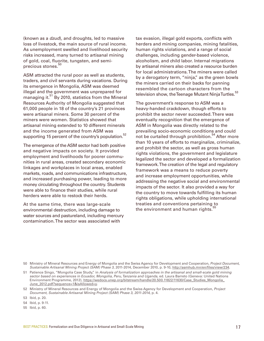(known as a dzud), and droughts, led to massive loss of livestock, the main source of rural income. As unemployment swelled and livelihood security risks increased, many turned to artisanal mining of gold, coal, fluorite, tungsten, and semiprecious stones.<sup>50</sup>

ASM attracted the rural poor as well as students, traders, and civil servants during vacations. During its emergence in Mongolia, ASM was deemed illegal and the government was unprepared for managing it.<sup>51</sup> By 2010, statistics from the Mineral Resources Authority of Mongolia suggested that 61,000 people in 18 of the country's 21 provinces were artisanal miners. Some 30 percent of the miners were women. Statistics showed that artisanal mining extended to 10 different minerals and the income generated from ASM was supporting 15 percent of the country's population.<sup>52</sup>

The emergence of the ASM sector had both positive and negative impacts on society. It provided employment and livelihoods for poorer communities in rural areas, created secondary economic linkages and workplaces in local areas, enabled markets, roads, and communications infrastructure, and increased purchasing power, leading to more money circulating throughout the country. Students were able to finance their studies, while rural herders were able to restock their herds.

At the same time, there was large-scale environmental destruction, including damage to water sources and pastureland, including mercury contamination. The sector was associated with

tax evasion, illegal gold exports, conflicts with herders and mining companies, mining fatalities, human rights violations, and a range of social challenges, including gender-based violence, alcoholism, and child labor. Internal migrations by artisanal miners also created a resource burden for local administrations. The miners were called by a derogatory term, "ninja," as the green bowls the miners carried on their backs for panning resembled the cartoon characters from the television show, the Teenage Mutant Ninja Turtles.<sup>53</sup>

The government's response to ASM was a heavy-handed crackdown, though efforts to prohibit the sector never succeeded. There was eventually recognition that the emergence of ASM in Mongolia was directly related to the prevailing socio-economic conditions and could not be curtailed through prohibition.<sup>54</sup> After more than 10 years of efforts to marginalize, criminalize, and prohibit the sector, as well as gross human rights violations, the government and legislature legalized the sector and developed a formalization framework. The creation of the legal and regulatory framework was a means to reduce poverty and increase employment opportunities, while addressing the negative social and environmental impacts of the sector. It also provided a way for the country to move towards fulfilling its human rights obligations, while upholding international treaties and conventions pertaining to the environment and human rights.<sup>5</sup>

55 Ibid, p. 60.

<sup>50</sup> Ministry of Mineral Resources and Energy of Mongolia and the Swiss Agency for Development and Cooperation, Project Document, Sustainable Artisanal Mining Project (SAM) Phase 3, 2011-2014, December 2010, p. 9-10, [http://asmhub.mn/en/files/view/234.](http://asmhub.mn/en/files/view/234)

<sup>51</sup> Patience Singo, "Mongolia Case Study," in Analysis of formalization approaches in the artisanal and small-scale gold mining sector based on experiences in Ecuador, Mongolia, Peru, Tanzania and Uganda, ed. Laura Barreto (Geneva: United Nations Environment Programme, 2012), [https://wedocs.unep.org/bitstream/handle/20.500.11822/11630/Case\\_Studies\\_Mongolia\\_](https://wedocs.unep.org/bitstream/handle/20.500.11822/11630/Case_Studies_Mongolia_June_2012.pdf?sequence=1&isAllowed=y) [June\\_2012.pdf?sequence=1&isAllowed=y.](https://wedocs.unep.org/bitstream/handle/20.500.11822/11630/Case_Studies_Mongolia_June_2012.pdf?sequence=1&isAllowed=y)

<sup>52</sup> Ministry of Mineral Resources and Energy of Mongolia and the Swiss Agency for Development and Cooperation, Project Document, Sustainable Artisanal Mining Project (SAM) Phase 3, 2011-2014, p. 4.

<sup>53</sup> Ibid, p. 20.

<sup>54</sup> Ibid, p. 9-11.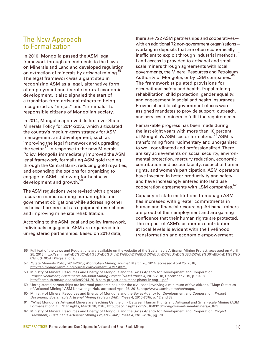## The New Approach to Formalization

In 2010, Mongolia passed the ASM legal framework through amendments to the Laws on Minerals and Land and developed regulation on extraction of minerals by artisanal mining.<sup>5</sup> The legal framework was a giant step in recognizing ASM as a legal, alternative form of employment and its role in rural economic development. It also signaled the start of a transition from artisanal miners to being recognized as "ninjas" and "criminals" to responsible citizens of Mongolian society.

In 2014, Mongolia approved its first ever State Minerals Policy for 2014-2035, which articulated the country's medium-term strategy for ASM management and development, such as improving the legal framework and upgrading the sector.<sup>57</sup> In response to the new Minerals Policy, Mongolia immediately improved the ASM legal framework, formalizing ASM gold trading through the Central Bank, reducing gold royalties, and expanding the options for organizing to engage in ASM—allowing for business development and growth.<sup>58</sup>

The ASM regulations were revised with a greater focus on mainstreaming human rights and government obligations while addressing other technical barriers such as equipment restrictions and improving mine site rehabilitation.

According to the ASM legal and policy framework, individuals engaged in ASM are organized into unregistered partnerships. Based on 2016 data,

there are 722 ASM partnerships and cooperatives with an additional 72 non-government organizations working in deposits that are often economically inefficient to exploit through industrial methods.<sup>59</sup> Land access is provided to artisanal and smallscale miners through agreements with local governments, the Mineral Resources and Petroleum Authority of Mongolia, or by LSM companies.<sup>61</sup> The framework stipulated provisions for occupational safety and health, frugal mining rehabilitation, child protection, gender equality, and engagement in social and health insurances. Provincial and local government offices were assigned mandates to provide support, outreach, and services to miners to fulfill the requirements.

Remarkable progress has been made during the last eight years with more than 10 percent of Mongolia's ASM sector formalized.<sup>61</sup> ASM is transforming from rudimentary and unorganized to well coordinated and professionalized. There are key achievements on social security, environmental protection, mercury reduction, economic contribution and accountability, respect of human rights, and women's participation. ASM operators have invested in better productivity and safety and have increasingly entered into land use cooperation agreements with LSM companies.<sup>62</sup>

Capacity of state institutions to manage ASM has increased with greater commitments in human and financial resourcing. Artisanal miners are proud of their employment and are gaining confidence that their human rights are protected. The impact of ASM's economic contribution at local levels is evident with the livelihood transformation and economic empowerment

56 Full text of the Laws and Regulations are available on the website of the Sustainable Artisanal Mining Project, accessed on April 25, 2018, [http://sam.mn/%D0%BC%D1%8D%D0%B4%D1%8D%D1%8D%D0%BB%D0%BB%D0%B8%D0%B9%D0%BD-%D1%81%D](http://sam.mn/%D0%BC%D1%8D%D0%B4%D1%8D%D1%8D%D0%BB%D0%BB%D0%B8%D0%B9%D0%BD-%D1%81%D0%B0%D0%BD/legislations/) [0%B0%D0%BD/legislations/.](http://sam.mn/%D0%BC%D1%8D%D0%B4%D1%8D%D1%8D%D0%BB%D0%BB%D0%B8%D0%B9%D0%BD-%D1%81%D0%B0%D0%BD/legislations/)

- 57 "State Minerals Policy 2014-2025", Mongolian Mining Journal, March 26, 2014, accessed April 25, 2018, [http://en.mongolianminingjournal.com/content/54797.shtml.](http://en.mongolianminingjournal.com/content/54797.shtml)
- 58 Ministry of Mineral Resources and Energy of Mongolia and the Swiss Agency for Development and Cooperation, Project Document, Sustainable Artisanal Mining Project (SAM) Phase 4, 2015-2018, December 2015, p. 10-18, [http://asmhub.mn/uploads/files/2014-2018-sam-project-document-phase-iv-eng\\_1.pdf.](http://asmhub.mn/uploads/files/2014-2018-sam-project-document-phase-iv-eng_1.pdf)
- 59 Unregistered partnerships are informal partnerships under the civil code involving a minimum of five citizens. "Map: Statistics of Artisanal Mining," ASM Knowledge Hub, accessed April 25, 2018, [http://www.asmhub.mn/en/maps.](http://www.asmhub.mn/en/maps)
- 60 Ministry of Mineral Resources and Energy of Mongolia and the Swiss Agency for Development and Cooperation, Project Document, Sustainable Artisanal Mining Project (SAM) Phase 4, 2015-2018, p. 12 and 32.
- 61 "What Mongolia's Artisanal Miners are Teaching Us: the Link Between Human Rights and Artisanal and Small-scale Mining (ASM) Formalisation," OECD Insights, March 16, 2016, [http://oecdinsights.org/2016/03/16/mongolias-artisanal-miners/#\\_ftn3](http://oecdinsights.org/2016/03/16/mongolias-artisanal-miners/#_ftn3).
- 62 Ministry of Mineral Resources and Energy of Mongolia and the Swiss Agency for Development and Cooperation, Project Document, Sustainable Artisanal Mining Project (SAM) Phase 4, 2015-2018, pg. 70.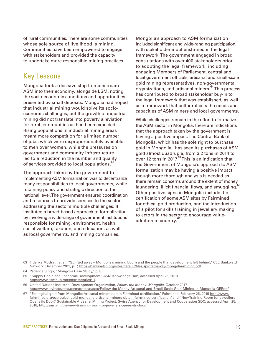of rural communities. There are some communities whose sole source of livelihood is mining. Communities have been empowered to engage with stakeholders and provided the capacity to undertake more responsible mining practices.

## Key Lessons

Mongolia took a decisive step to mainstream ASM into their economy, alongside LSM, noting the socio-economic conditions and opportunities presented by small deposits. Mongolia had hoped that industrial mining would solve its socioeconomic challenges, but the growth of industrial mining did not translate into poverty alleviation for rural communities as had been expected. Rising populations in industrial mining areas meant more competition for a limited number of jobs, which were disproportionately available to men over women, while the pressures on government and community infrastructure led to a reduction in the number and quality of services provided to local populations.<sup>63</sup>

The approach taken by the government to implementing ASM formalization was to decentralize many responsibilities to local governments, while retaining policy and strategic direction at the national level. The government ensured coordination and resources to provide services to the sector, addressing the sector's multiple challenges. It instituted a broad-based approach to formalization by involving a wide-range of government institutions responsible for mining, environment, health, social welfare, taxation, and education, as well as local governments, and mining companies.

Mongolia's approach to ASM formalization included significant and wide-ranging participation, with stakeholder input enshrined in the legal framework. The government engaged in broad consultations with over 400 stakeholders prior to adopting the legal framework, including engaging Members of Parliament, central and local government officials, artisanal and small-scale gold mining representatives, non-governmental organizations, and artisanal miners.<sup>64</sup> This process has contributed to broad stakeholder buy-in to the legal framework that was established, as well as a framework that better reflects the needs and capacities of ASM miners and local governments.

While challenges remain in the effort to formalize the ASM sector in Mongolia, there are indications that the approach taken by the government is having a positive impact. The Central Bank of Mongolia, which has the sole right to purchase gold in Mongolia, has seen its purchases of ASM gold almost quadruple, from 3.2 tons in 2014 to over 12 tons in 2017.<sup>65</sup> This is an indication that the Government of Mongolia's approach to ASM formalization may be having a positive impact, though more thorough analysis is needed as there remain concerns around the extent of money laundering, illicit financial flows, and smuggling. Other positive signs in Mongolia include the certification of some ASM sites by Fairmined for ethical gold production, and the introduction of a pilot for skills training in jewellery making to actors in the sector to encourage valueaddition in country.<sup>67</sup>

<sup>63</sup> Fidanka McGrath et al., "Spirited away – Mongolia's mining boom and the people that development left behind," CEE Bankwatch Network, December 2011, p. 7, <https://bankwatch.org/sites/default/files/spirited-away-mongolia-mining.pdf>.

<sup>64</sup> Patience Singo, "Mongolia Case Study," p. 8.

<sup>65 &</sup>quot;Supply Chain and Economic Development," ASM Knowledge Hub, accessed April 25, 2018, <http://www.asmhub.mn/en/categories/11>.

<sup>66</sup> United Nations Industrial Development Organization, Follow the Money: Mongolia, October 2017, <http://www.levinsources.com/assets/pages/Follow-the-Money-Artisanal-and-Small-Scale-Gold-Mining-in-Mongolia-GEF.pdf>.

<sup>67 &</sup>quot;Ecological gold from Mongolia: Artisanal miners obtain Fairmined certification," Fairmined, February 25, 2015 [http://www.](http://www.fairmined.org/ecological-gold-mongolia-artisanal-miners-obtain-fairmined-certification/) [fairmined.org/ecological-gold-mongolia-artisanal-miners-obtain-fairmined-certification/](http://www.fairmined.org/ecological-gold-mongolia-artisanal-miners-obtain-fairmined-certification/) and "New Training Room for Jewellers Opens its Door," Sustainable Artisanal Mining Project, Swiss Agency for Development and Cooperation SDC, accessed April 25, 2018, [http://sam.mn/the-new-training-room-for-jewellers-opens-its-door/.](http://sam.mn/the-new-training-room-for-jewellers-opens-its-door/)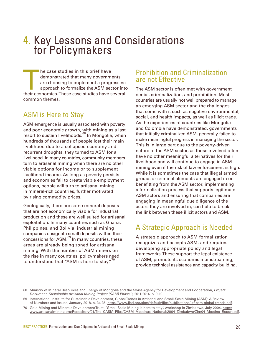# <span id="page-19-0"></span>4. Key Lessons and Considerations for Policymakers

The case studies in this brief have<br>
demonstrated that many governments<br>
are choosing to implement a progressive<br>
approach to formalize the ASM sector into<br>
their economies. These case studies have several demonstrated that many governments are choosing to implement a progressive approach to formalize the ASM sector into common themes.

## ASM is Here to Stay

ASM emergence is usually associated with poverty and poor economic growth, with mining as a last resort to sustain livelihoods.<sup>68</sup> In Mongolia, when hundreds of thousands of people lost their main livelihood due to a collapsed economy and recurrent droughts, they turned to ASM for a livelihood. In many countries, community members turn to artisanal mining when there are no other viable options for income or to supplement livelihood income. As long as poverty persists and economies fail to create viable employment options, people will turn to artisanal mining in mineral-rich countries, further motivated by rising commodity prices.

Geologically, there are some mineral deposits that are not economically viable for industrial production and these are well suited for artisanal exploitation. In many countries such as Ghana, Philippines, and Bolivia, industrial mining companies designate small deposits within their concessions for ASM.<sup>69</sup> In many countries, these areas are already being zoned for artisanal mining. With the number of ASM miners on the rise in many countries, policymakers need to understand that "ASM is here to stay." $70$ 

## Prohibition and Criminalization are not Effective

The ASM sector is often met with government denial, criminalization, and prohibition. Most countries are usually not well prepared to manage an emerging ASM sector and the challenges that come with it such as negative environmental, social, and health impacts, as well as illicit trade. As the experiences of countries like Mongolia and Colombia have demonstrated, governments that initially criminalized ASM, generally failed to make meaningful progress in managing the sector. This is in large part due to the poverty-driven nature of the ASM sector, as those involved often have no other meaningful alternatives for their livelihood and will continue to engage in ASM mining even if the risk of law enforcement is high. While it is sometimes the case that illegal armed groups or criminal elements are engaged in or benefitting from the ASM sector, implementing a formalization process that supports legitimate ASM actors and ensuring that companies are engaging in meaningful due diligence of the actors they are involved in, can help to break the link between these illicit actors and ASM.

## A Strategic Approach is Needed

A strategic approach to ASM formalization recognizes and accepts ASM, and requires developing appropriate policy and legal frameworks. These support the legal existence of ASM, promote its economic mainstreaming, provide technical assistance and capacity building,

<sup>68</sup> Ministry of Mineral Resources and Energy of Mongolia and the Swiss Agency for Development and Cooperation, Project Document, Sustainable Artisanal Mining Project (SAM) Phase 3, 2011-2014, p. 9-10.

<sup>69</sup> International Institute for Sustainable Development, Global Trends in Artisanal and Small-Scale Mining (ASM): A Review of Numbers and Issues, January 2018, p. 34-35, [https://www.iisd.org/sites/default/files/publications/igf-asm-global-trends.pdf.](https://www.iisd.org/sites/default/files/publications/igf-asm-global-trends.pdf)

<sup>70</sup> Gold Mining and Minerals Development Trust, "Small Scale Mining is here to stay", workshop in Zimbabwe, July 2004, [http://](http://www.artisanalmining.org/Repository/01/The_CASM_Files/CASM_Meetings_National/2004_Zimbabwe/Zim04_Meeting_Report.pdf) [www.artisanalmining.org/Repository/01/The\\_CASM\\_Files/CASM\\_Meetings\\_National/2004\\_Zimbabwe/Zim04\\_Meeting\\_Report.pdf](http://www.artisanalmining.org/Repository/01/The_CASM_Files/CASM_Meetings_National/2004_Zimbabwe/Zim04_Meeting_Report.pdf).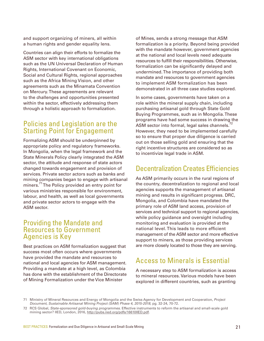and support organizing of miners, all within a human rights and gender equality lens.

Countries can align their efforts to formalize the ASM sector with key international obligations such as the UN Universal Declaration of Human Rights, International Covenant on Economic, Social and Cultural Rights, regional approaches such as the Africa Mining Vision, and other agreements such as the Minamata Convention on Mercury. These agreements are relevant to the challenges and opportunities presented within the sector, effectively addressing them through a holistic approach to formalization.

## Policies and Legislation are the Starting Point for Engagement

Formalizing ASM should be underpinned by appropriate policy and regulatory frameworks. In Mongolia, when the legal framework and the State Minerals Policy clearly integrated the ASM sector, the attitude and response of state actors changed towards engagement and provision of services. Private sector actors such as banks and mining companies began to engage with artisanal miners.<sup>71</sup> The Policy provided an entry point for various ministries responsible for environment, labour, and health, as well as local governments and private sector actors to engage with the ASM sector.

#### Providing the Mandate and Resources to Government Agencies is Key

Best practices on ASM formalization suggest that success most often occurs where governments have provided the mandate and resources to national and local agencies for ASM management. Providing a mandate at a high level, as Colombia has done with the establishment of the Directorate of Mining Formalization under the Vice Minister

of Mines, sends a strong message that ASM formalization is a priority. Beyond being provided with the mandate however, government agencies at the national and local levels need adequate resources to fulfill their responsibilities. Otherwise, formalization can be significantly delayed and undermined. The importance of providing both mandate and resources to government agencies to implement ASM formalization has been demonstrated in all three case studies explored.

In some cases, governments have taken on a role within the mineral supply chain, including purchasing artisanal gold through State Gold Buying Programmes, such as in Mongolia. These programs have had some success in drawing the ASM sector into formal, legal sales channels.<sup>7</sup> However, they need to be implemented carefully so to ensure that proper due diligence is carried out on those selling gold and ensuring that the right incentive structures are considered so as to incentivize legal trade in ASM.

## Decentralization Creates Efficiencies

As ASM primarily occurs in the rural regions of the country, decentralization to regional and local agencies supports the management of artisanal mining and results in significant progress. DRC, Mongolia, and Colombia have mandated the primary role of ASM land access, provision of services and technical support to regional agencies, while policy guidance and oversight including monitoring and evaluation is provided at the national level. This leads to more efficient management of the ASM sector and more effective support to miners, as those providing services are more closely located to those they are serving.

## Access to Minerals is Essential

A necessary step to ASM formalization is access to mineral resources. Various models have been explored in different countries, such as granting

<sup>71</sup> Ministry of Mineral Resources and Energy of Mongolia and the Swiss Agency for Development and Cooperation, Project Document, Sustainable Artisanal Mining Project (SAM) Phase 4, 2015-2018, pg. 32-24, 70-72.

<sup>72</sup> RCS Global, State-sponsored gold-buying programmes. Effective instruments to reform the artisanal and small-scale gold mining sector? IIED, London, 2016, <http://pubs.iied.org/pdfs/16610IIED.pdf>.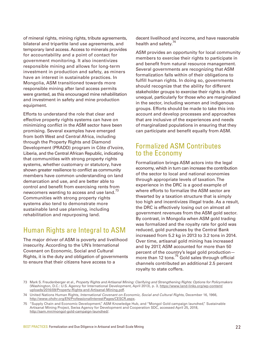of mineral rights, mining rights, tribute agreements, bilateral and tripartite land use agreements, and temporary land access. Access to minerals provides for accountability and a point of contact for government monitoring. It also incentivizes responsible mining and allows for long-term investment in production and safety, as miners have an interest in sustainable practices. In Mongolia, ASM transitioned towards more responsible mining after land access permits were granted, as this encouraged mine rehabilitation and investment in safety and mine production equipment.

Efforts to understand the role that clear and effective property rights systems can have on minimizing conflict in the ASM sector have been promising. Several examples have emerged from both West and Central Africa, including through the Property Rights and Diamond Development (PRADD) program in Côte d'Ivoire, Liberia, and the Central African Republic, indicating that communities with strong property rights systems, whether customary or statutory, have shown greater resilience to conflict as community members have common understanding on land demarcation and use, and are better able to control and benefit from exercising rents from newcomers wanting to access and use land.<sup>73</sup> Communities with strong property rights systems also tend to demonstrate more sustainable land use planning, including rehabilitation and repurposing land.

## Human Rights are Integral to ASM

The major driver of ASM is poverty and livelihood insecurity. According to the UN's International Covenant on Economic, Social and Cultural Rights, it is the duty and obligation of governments to ensure that their citizens have access to a

decent livelihood and income, and have reasonable health and safety.<sup>74</sup>

ASM provides an opportunity for local community members to exercise their rights to participate in and benefit from natural resource management. Several governments are recognizing that ASM formalization falls within of their obligations to fulfill human rights. In doing so, governments should recognize that the ability for different stakeholder groups to exercise their rights is often unequal, particularly for those who are marginalized in the sector, including women and indigenous groups. Efforts should be made to take this into account and develop processes and approaches that are inclusive of the experiences and needs of marginalized populations in ensuring that they can participate and benefit equally from ASM.

#### Formalized ASM Contributes to the Economy

Formalization brings ASM actors into the legal economy, which in turn can increase the contribution of the sector to local and national economies through appropriate levels of taxation. The experience in the DRC is a good example of where efforts to formalize the ASM sector are thwarted by a taxation structure that is simply too high and incentivizes illegal trade. As a result, the DRC is effectively losing out on almost all government revenues from the ASM gold sector. By contrast, in Mongolia when ASM gold trading was formalized and the royalty rate for gold was reduced, gold purchases by the Central Bank increased from 5.2 kg in 2013 to 3.2 tons in 2014. Over time, artisanal gold mining has increased and by 2017, ASM accounted for more than 50 percent of the country's legal gold production more than 12 tons.<sup>75</sup> Gold sales through official channels contributed an additional 2.5 percent royalty to state coffers.

<sup>73</sup> Mark S. Freudenberger et al., Property Rights and Artisanal Mining: Clarifying and Strengthening Rights: Options for Policymakers (Washington, D.C.: U.S. Agency for International Development, April 2013), p. 3, [https://www.land-links.org/wp-content/](https://www.land-links.org/wp-content/uploads/2016/09/Property-Rights-and-Artisanal-Mining.pdf) [uploads/2016/09/Property-Rights-and-Artisanal-Mining.pdf.](https://www.land-links.org/wp-content/uploads/2016/09/Property-Rights-and-Artisanal-Mining.pdf)

<sup>74</sup> United Nations Human Rights, International Covenant on Economic, Social and Cultural Rights, December 16, 1966, <http://www.ohchr.org/EN/ProfessionalInterest/Pages/CESCR.aspx>.

<sup>75 &</sup>quot;Supply Chain and Economic Development," ASM Knowledge Hub, and "Mongol Gold campaign launched," Sustainable Artisanal Mining Project, Swiss Agency for Development and Cooperation SDC, accessed April 25, 2018, [http://sam.mn/mongol-gold-campaign-launched/.](http://sam.mn/mongol-gold-campaign-launched/)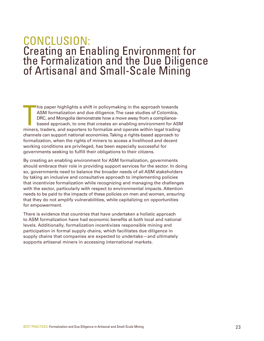# <span id="page-22-0"></span>CONCLUSION: Creating an Enabling Environment for the Formalization and the Due Diligence of Artisanal and Small-Scale Mining

his paper highlights a shift in policymaking in the approach towards<br>ASM formalization and due diligence. The case studies of Colombia,<br>DRC, and Mongolia demonstrate how a move away from a compliance-<br>based approach, to on his paper highlights a shift in policymaking in the approach towards ASM formalization and due diligence. The case studies of Colombia, DRC, and Mongolia demonstrate how a move away from a compliancebased approach, to one that creates an enabling environment for ASM channels can support national economies. Taking a rights-based approach to formalization, when the rights of miners to access a livelihood and decent working conditions are privileged, has been especially successful for governments seeking to fulfill their obligations to their citizens.

By creating an enabling environment for ASM formalization, governments should embrace their role in providing support services for the sector. In doing so, governments need to balance the broader needs of all ASM stakeholders by taking an inclusive and consultative approach to implementing policies that incentivize formalization while recognizing and managing the challenges with the sector, particularly with respect to environmental impacts. Attention needs to be paid to the impacts of these policies on men and women, ensuring that they do not amplify vulnerabilities, while capitalizing on opportunities for empowerment.

There is evidence that countries that have undertaken a holistic approach to ASM formalization have had economic benefits at both local and national levels. Additionally, formalization incentivizes responsible mining and participation in formal supply chains, which facilitates due diligence in supply chains that companies are expected to undertake—and ultimately supports artisanal miners in accessing international markets.